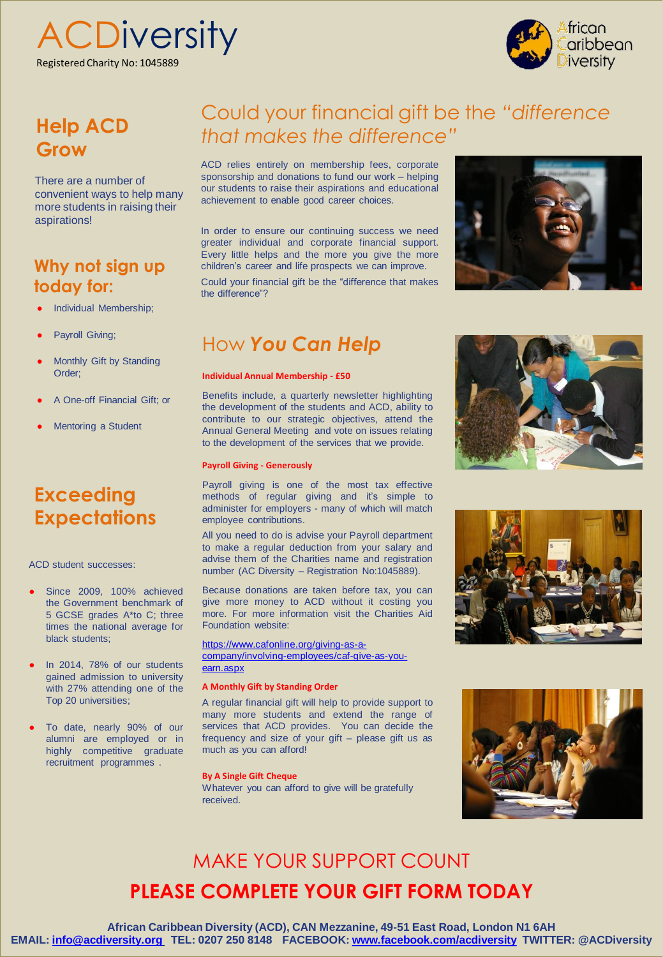**ACDiversity** Registered Charity No: 1045889



## **Help ACD Grow**

There are a number of convenient ways to help many more students in raising their aspirations!

### **Why not sign up today for:**

- **Individual Membership;**
- Payroll Giving;
- Monthly Gift by Standing Order;
- A One-off Financial Gift; or
- **Mentoring a Student**

## **Exceeding Expectations**

ACD student successes:

- Since 2009, 100% achieved the Government benchmark of 5 GCSE grades A\*to C; three times the national average for black students;
- In 2014, 78% of our students gained admission to university with 27% attending one of the Top 20 universities;
- To date, nearly 90% of our alumni are employed or in highly competitive graduate recruitment programmes .

# Could your financial gift be the *"difference that makes the difference"*

ACD relies entirely on membership fees, corporate sponsorship and donations to fund our work – helping our students to raise their aspirations and educational achievement to enable good career choices.

In order to ensure our continuing success we need greater individual and corporate financial support. Every little helps and the more you give the more children's career and life prospects we can improve.

Could your financial gift be the "difference that makes the difference"?

## How *You Can Help*

#### **Individual Annual Membership - £50**

Benefits include, a quarterly newsletter highlighting the development of the students and ACD, ability to contribute to our strategic objectives, attend the Annual General Meeting and vote on issues relating to the development of the services that we provide.

#### **Payroll Giving - Generously**

Payroll giving is one of the most tax effective methods of regular giving and it's simple to administer for employers - many of which will match employee contributions.

All you need to do is advise your Payroll department to make a regular deduction from your salary and advise them of the Charities name and registration number (AC Diversity – Registration No:1045889).

Because donations are taken before tax, you can give more money to ACD without it costing you more. For more information visit the Charities Aid Foundation website:

[https://www.cafonline.org/giving-as-a](https://www.cafonline.org/giving-as-a-company/involving-employees/caf-give-as-you-earn.aspx)[company/involving-employees/caf-give-as-you](https://www.cafonline.org/giving-as-a-company/involving-employees/caf-give-as-you-earn.aspx)[earn.aspx](https://www.cafonline.org/giving-as-a-company/involving-employees/caf-give-as-you-earn.aspx)

#### **A Monthly Gift by Standing Order**

A regular financial gift will help to provide support to many more students and extend the range of services that ACD provides. You can decide the frequency and size of your gift – please gift us as much as you can afford!

#### **By A Single Gift Cheque**

Whatever you can afford to give will be gratefully received.









# MAKE YOUR SUPPORT COUNT **PLEASE COMPLETE YOUR GIFT FORM TODAY**

**African Caribbean Diversity (ACD), CAN Mezzanine, 49-51 East Road, London N1 6AH EMAIL: [info@acdiversity.org](mailto:info@acdiversity.org) TEL: 0207 250 8148 FACEBOOK: [www.facebook.com/acdiversity](http://www.facebook.com/acdiversity) TWITTER: @ACDiversity**